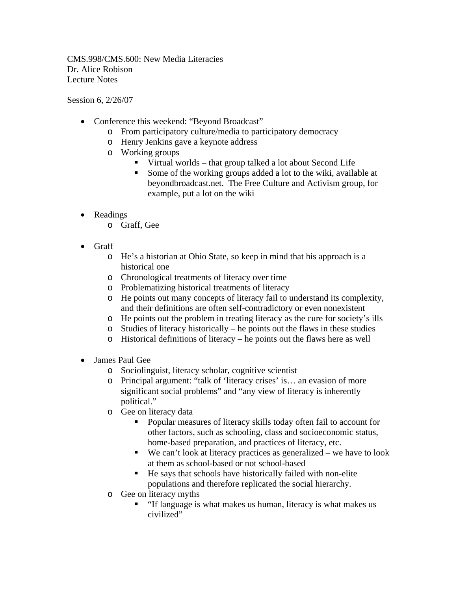CMS.998/CMS.600: New Media Literacies Dr. Alice Robison Lecture Notes

Session 6, 2/26/07

- Conference this weekend: "Beyond Broadcast"
	- o From participatory culture/media to participatory democracy
	- o Henry Jenkins gave a keynote address
	- o Working groups
		- Virtual worlds that group talked a lot about Second Life
		- Some of the working groups added a lot to the wiki, available at beyondbroadcast.net. The Free Culture and Activism group, for example, put a lot on the wiki
- Readings
	- o Graff, Gee
- Graff
	- o He's a historian at Ohio State, so keep in mind that his approach is a historical one
	- o Chronological treatments of literacy over time
	- o Problematizing historical treatments of literacy
	- o He points out many concepts of literacy fail to understand its complexity, and their definitions are often self-contradictory or even nonexistent
	- o He points out the problem in treating literacy as the cure for society's ills
	- o Studies of literacy historically he points out the flaws in these studies
	- o Historical definitions of literacy he points out the flaws here as well
- James Paul Gee
	- o Sociolinguist, literacy scholar, cognitive scientist
	- o Principal argument: "talk of 'literacy crises' is… an evasion of more significant social problems" and "any view of literacy is inherently political."
	- o Gee on literacy data
		- **Popular measures of literacy skills today often fail to account for** other factors, such as schooling, class and socioeconomic status, home-based preparation, and practices of literacy, etc.
		- $\blacksquare$  We can't look at literacy practices as generalized we have to look at them as school-based or not school-based
		- He says that schools have historically failed with non-elite populations and therefore replicated the social hierarchy.
	- o Gee on literacy myths
		- "If language is what makes us human, literacy is what makes us civilized"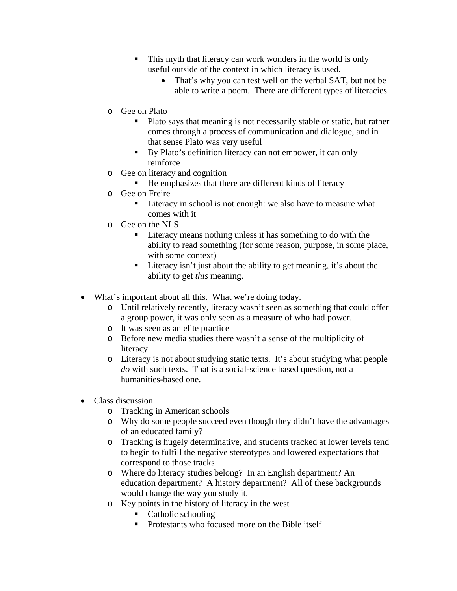- This myth that literacy can work wonders in the world is only useful outside of the context in which literacy is used.
	- That's why you can test well on the verbal SAT, but not be able to write a poem. There are different types of literacies
- o Gee on Plato
	- Plato says that meaning is not necessarily stable or static, but rather comes through a process of communication and dialogue, and in that sense Plato was very useful
	- By Plato's definition literacy can not empower, it can only reinforce
- o Gee on literacy and cognition
	- He emphasizes that there are different kinds of literacy
- o Gee on Freire
	- Literacy in school is not enough: we also have to measure what comes with it
- o Gee on the NLS
	- Literacy means nothing unless it has something to do with the ability to read something (for some reason, purpose, in some place, with some context)
	- Literacy isn't just about the ability to get meaning, it's about the ability to get *this* meaning.
- What's important about all this. What we're doing today.
	- o Until relatively recently, literacy wasn't seen as something that could offer a group power, it was only seen as a measure of who had power.
	- o It was seen as an elite practice
	- o Before new media studies there wasn't a sense of the multiplicity of literacy
	- o Literacy is not about studying static texts. It's about studying what people *do* with such texts. That is a social-science based question, not a humanities-based one.
- Class discussion
	- o Tracking in American schools
	- o Why do some people succeed even though they didn't have the advantages of an educated family?
	- o Tracking is hugely determinative, and students tracked at lower levels tend to begin to fulfill the negative stereotypes and lowered expectations that correspond to those tracks
	- o Where do literacy studies belong? In an English department? An education department? A history department? All of these backgrounds would change the way you study it.
	- o Key points in the history of literacy in the west
		- Catholic schooling
		- **Protestants who focused more on the Bible itself**